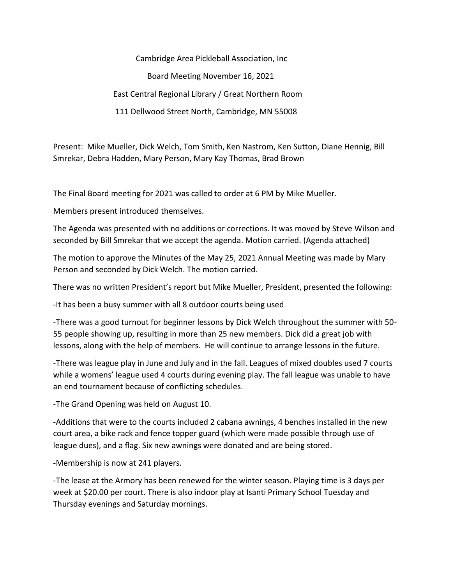Cambridge Area Pickleball Association, Inc Board Meeting November 16, 2021 East Central Regional Library / Great Northern Room 111 Dellwood Street North, Cambridge, MN 55008

Present: Mike Mueller, Dick Welch, Tom Smith, Ken Nastrom, Ken Sutton, Diane Hennig, Bill Smrekar, Debra Hadden, Mary Person, Mary Kay Thomas, Brad Brown

The Final Board meeting for 2021 was called to order at 6 PM by Mike Mueller.

Members present introduced themselves.

The Agenda was presented with no additions or corrections. It was moved by Steve Wilson and seconded by Bill Smrekar that we accept the agenda. Motion carried. (Agenda attached)

The motion to approve the Minutes of the May 25, 2021 Annual Meeting was made by Mary Person and seconded by Dick Welch. The motion carried.

There was no written President's report but Mike Mueller, President, presented the following:

-It has been a busy summer with all 8 outdoor courts being used

-There was a good turnout for beginner lessons by Dick Welch throughout the summer with 50- 55 people showing up, resulting in more than 25 new members. Dick did a great job with lessons, along with the help of members. He will continue to arrange lessons in the future.

-There was league play in June and July and in the fall. Leagues of mixed doubles used 7 courts while a womens' league used 4 courts during evening play. The fall league was unable to have an end tournament because of conflicting schedules.

-The Grand Opening was held on August 10.

-Additions that were to the courts included 2 cabana awnings, 4 benches installed in the new court area, a bike rack and fence topper guard (which were made possible through use of league dues), and a flag. Six new awnings were donated and are being stored.

-Membership is now at 241 players.

-The lease at the Armory has been renewed for the winter season. Playing time is 3 days per week at \$20.00 per court. There is also indoor play at Isanti Primary School Tuesday and Thursday evenings and Saturday mornings.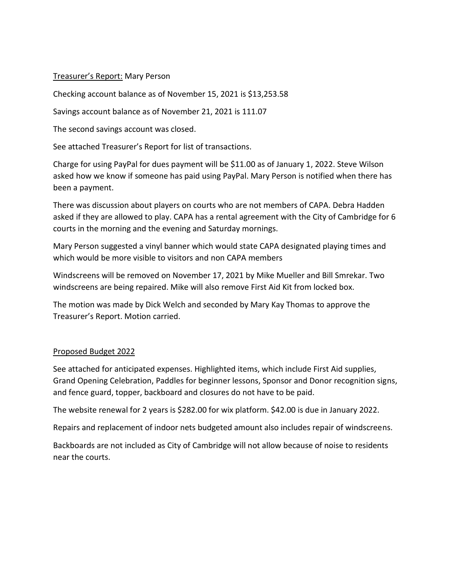#### Treasurer's Report: Mary Person

Checking account balance as of November 15, 2021 is \$13,253.58

Savings account balance as of November 21, 2021 is 111.07

The second savings account was closed.

See attached Treasurer's Report for list of transactions.

Charge for using PayPal for dues payment will be \$11.00 as of January 1, 2022. Steve Wilson asked how we know if someone has paid using PayPal. Mary Person is notified when there has been a payment.

There was discussion about players on courts who are not members of CAPA. Debra Hadden asked if they are allowed to play. CAPA has a rental agreement with the City of Cambridge for 6 courts in the morning and the evening and Saturday mornings.

Mary Person suggested a vinyl banner which would state CAPA designated playing times and which would be more visible to visitors and non CAPA members

Windscreens will be removed on November 17, 2021 by Mike Mueller and Bill Smrekar. Two windscreens are being repaired. Mike will also remove First Aid Kit from locked box.

The motion was made by Dick Welch and seconded by Mary Kay Thomas to approve the Treasurer's Report. Motion carried.

# Proposed Budget 2022

See attached for anticipated expenses. Highlighted items, which include First Aid supplies, Grand Opening Celebration, Paddles for beginner lessons, Sponsor and Donor recognition signs, and fence guard, topper, backboard and closures do not have to be paid.

The website renewal for 2 years is \$282.00 for wix platform. \$42.00 is due in January 2022.

Repairs and replacement of indoor nets budgeted amount also includes repair of windscreens.

Backboards are not included as City of Cambridge will not allow because of noise to residents near the courts.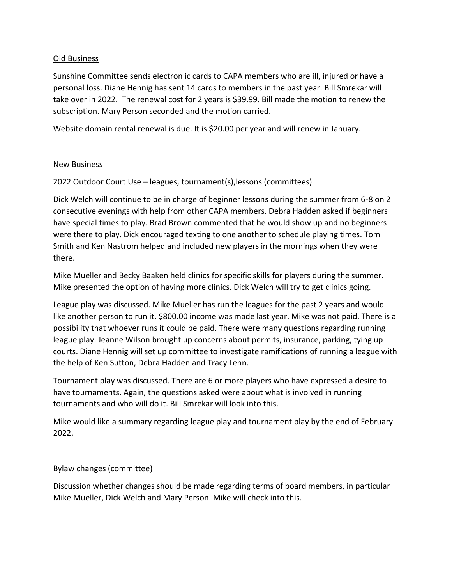# Old Business

Sunshine Committee sends electron ic cards to CAPA members who are ill, injured or have a personal loss. Diane Hennig has sent 14 cards to members in the past year. Bill Smrekar will take over in 2022. The renewal cost for 2 years is \$39.99. Bill made the motion to renew the subscription. Mary Person seconded and the motion carried.

Website domain rental renewal is due. It is \$20.00 per year and will renew in January.

# New Business

2022 Outdoor Court Use – leagues, tournament(s),lessons (committees)

Dick Welch will continue to be in charge of beginner lessons during the summer from 6-8 on 2 consecutive evenings with help from other CAPA members. Debra Hadden asked if beginners have special times to play. Brad Brown commented that he would show up and no beginners were there to play. Dick encouraged texting to one another to schedule playing times. Tom Smith and Ken Nastrom helped and included new players in the mornings when they were there.

Mike Mueller and Becky Baaken held clinics for specific skills for players during the summer. Mike presented the option of having more clinics. Dick Welch will try to get clinics going.

League play was discussed. Mike Mueller has run the leagues for the past 2 years and would like another person to run it. \$800.00 income was made last year. Mike was not paid. There is a possibility that whoever runs it could be paid. There were many questions regarding running league play. Jeanne Wilson brought up concerns about permits, insurance, parking, tying up courts. Diane Hennig will set up committee to investigate ramifications of running a league with the help of Ken Sutton, Debra Hadden and Tracy Lehn.

Tournament play was discussed. There are 6 or more players who have expressed a desire to have tournaments. Again, the questions asked were about what is involved in running tournaments and who will do it. Bill Smrekar will look into this.

Mike would like a summary regarding league play and tournament play by the end of February 2022.

# Bylaw changes (committee)

Discussion whether changes should be made regarding terms of board members, in particular Mike Mueller, Dick Welch and Mary Person. Mike will check into this.